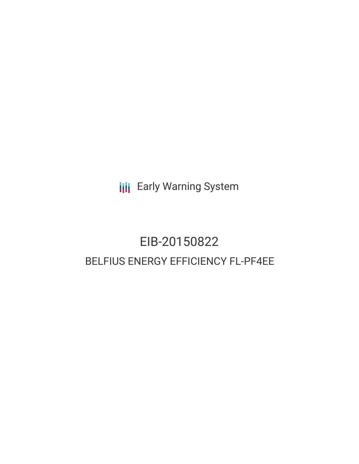**III** Early Warning System

# EIB-20150822 BELFIUS ENERGY EFFICIENCY FL-PF4EE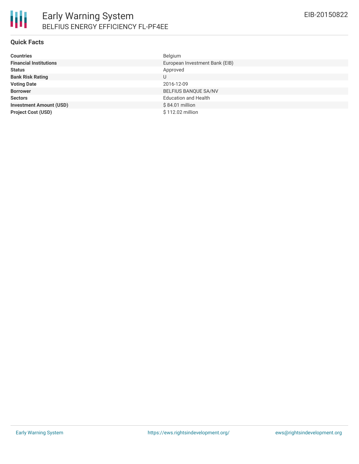# **Quick Facts**

| <b>Countries</b>               | Belgium                        |
|--------------------------------|--------------------------------|
| <b>Financial Institutions</b>  | European Investment Bank (EIB) |
| <b>Status</b>                  | Approved                       |
| <b>Bank Risk Rating</b>        | U                              |
| <b>Voting Date</b>             | 2016-12-09                     |
| <b>Borrower</b>                | <b>BELFIUS BANQUE SA/NV</b>    |
| <b>Sectors</b>                 | <b>Education and Health</b>    |
| <b>Investment Amount (USD)</b> | $$84.01$ million               |
| <b>Project Cost (USD)</b>      | \$112.02 million               |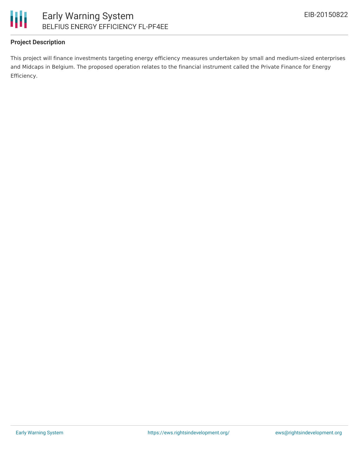

# **Project Description**

This project will finance investments targeting energy efficiency measures undertaken by small and medium-sized enterprises and Midcaps in Belgium. The proposed operation relates to the financial instrument called the Private Finance for Energy Efficiency.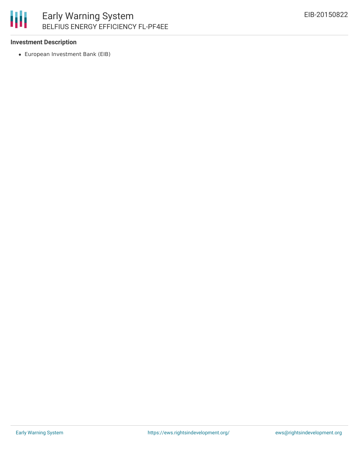

#### **Investment Description**

European Investment Bank (EIB)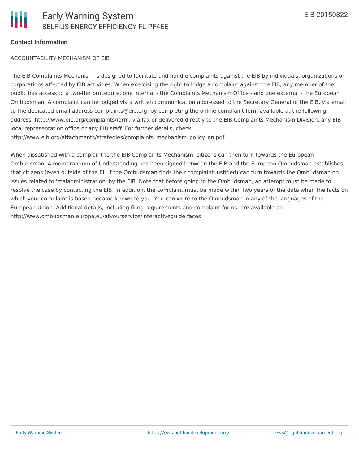### **Contact Information**

#### ACCOUNTABILITY MECHANISM OF EIB

The EIB Complaints Mechanism is designed to facilitate and handle complaints against the EIB by individuals, organizations or corporations affected by EIB activities. When exercising the right to lodge a complaint against the EIB, any member of the public has access to a two-tier procedure, one internal - the Complaints Mechanism Office - and one external - the European Ombudsman. A complaint can be lodged via a written communication addressed to the Secretary General of the EIB, via email to the dedicated email address complaints@eib.org, by completing the online complaint form available at the following address: http://www.eib.org/complaints/form, via fax or delivered directly to the EIB Complaints Mechanism Division, any EIB local representation office or any EIB staff. For further details, check: http://www.eib.org/attachments/strategies/complaints\_mechanism\_policy\_en.pdf

When dissatisfied with a complaint to the EIB Complaints Mechanism, citizens can then turn towards the European Ombudsman. A memorandum of Understanding has been signed between the EIB and the European Ombudsman establishes that citizens (even outside of the EU if the Ombudsman finds their complaint justified) can turn towards the Ombudsman on issues related to 'maladministration' by the EIB. Note that before going to the Ombudsman, an attempt must be made to resolve the case by contacting the EIB. In addition, the complaint must be made within two years of the date when the facts on which your complaint is based became known to you. You can write to the Ombudsman in any of the languages of the European Union. Additional details, including filing requirements and complaint forms, are available at: http://www.ombudsman.europa.eu/atyourservice/interactiveguide.faces